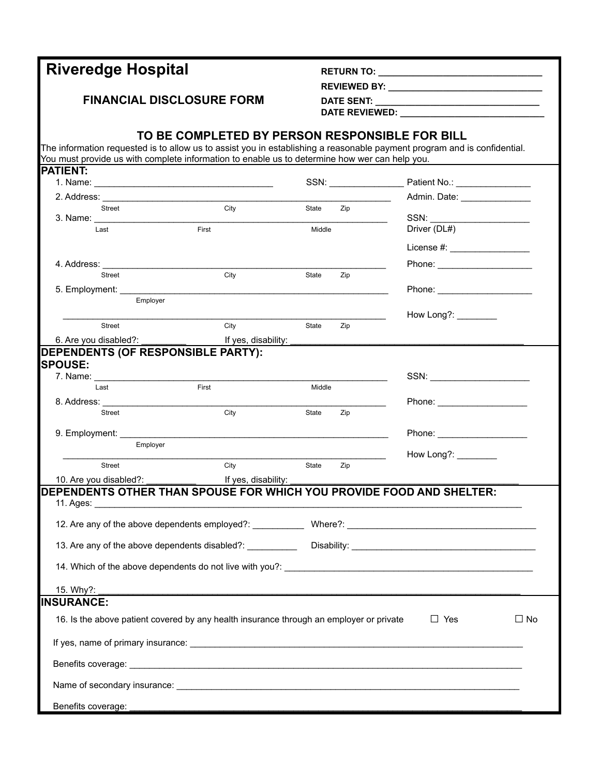## Riveredge Hospital Riveredge Hospital RETURN TO:

## **FINANCIAL DISCLOSURE FORM DATE SENT: \_\_\_\_\_\_\_\_\_\_\_\_\_\_\_\_\_\_\_\_\_\_\_\_\_\_\_\_\_\_\_\_\_**

 **REVIEWED BY: \_\_\_\_\_\_\_\_\_\_\_\_\_\_\_\_\_\_\_\_\_\_\_\_\_\_\_\_\_\_\_**

 **DATE REVIEWED: \_\_\_\_\_\_\_\_\_\_\_\_\_\_\_\_\_\_\_\_\_\_\_\_\_\_\_\_\_**

|                   |                                  | TO BE COMPLETED BY PERSON RESPONSIBLE FOR BILL                                                                                                                                                                                      |                                   |     |                                                                                                                                                                                                                                |           |
|-------------------|----------------------------------|-------------------------------------------------------------------------------------------------------------------------------------------------------------------------------------------------------------------------------------|-----------------------------------|-----|--------------------------------------------------------------------------------------------------------------------------------------------------------------------------------------------------------------------------------|-----------|
|                   |                                  |                                                                                                                                                                                                                                     |                                   |     | The information requested is to allow us to assist you in establishing a reasonable payment program and is confidential.                                                                                                       |           |
| <b>PATIENT:</b>   |                                  | You must provide us with complete information to enable us to determine how wer can help you.                                                                                                                                       |                                   |     |                                                                                                                                                                                                                                |           |
|                   |                                  |                                                                                                                                                                                                                                     |                                   |     |                                                                                                                                                                                                                                |           |
|                   | 2. Address: _____                |                                                                                                                                                                                                                                     |                                   |     | Admin. Date: _________________                                                                                                                                                                                                 |           |
|                   | <b>Street</b>                    | City                                                                                                                                                                                                                                | State                             | Zip |                                                                                                                                                                                                                                |           |
|                   | Last                             | First                                                                                                                                                                                                                               | Middle                            |     | SSN: ________________________<br>Driver (DL#)                                                                                                                                                                                  |           |
|                   |                                  |                                                                                                                                                                                                                                     |                                   |     |                                                                                                                                                                                                                                |           |
|                   |                                  |                                                                                                                                                                                                                                     |                                   |     | License #: ___________________                                                                                                                                                                                                 |           |
|                   |                                  |                                                                                                                                                                                                                                     |                                   |     |                                                                                                                                                                                                                                |           |
|                   | Street                           | City                                                                                                                                                                                                                                | State                             | Zip |                                                                                                                                                                                                                                |           |
|                   | Employer                         |                                                                                                                                                                                                                                     |                                   |     | Phone: _______________________                                                                                                                                                                                                 |           |
|                   |                                  |                                                                                                                                                                                                                                     |                                   |     | How Long?: ________                                                                                                                                                                                                            |           |
|                   | <b>Street</b>                    | City                                                                                                                                                                                                                                | State                             | Zip |                                                                                                                                                                                                                                |           |
|                   | 6. Are you disabled?: __________ |                                                                                                                                                                                                                                     | If yes, disability: _____________ |     |                                                                                                                                                                                                                                |           |
|                   |                                  | DEPENDENTS (OF RESPONSIBLE PARTY):                                                                                                                                                                                                  |                                   |     |                                                                                                                                                                                                                                |           |
| <b>SPOUSE:</b>    |                                  |                                                                                                                                                                                                                                     |                                   |     |                                                                                                                                                                                                                                |           |
|                   | Last                             | First                                                                                                                                                                                                                               | Middle                            |     |                                                                                                                                                                                                                                |           |
|                   |                                  |                                                                                                                                                                                                                                     |                                   |     | Phone: the contract of the contract of the contract of the contract of the contract of the contract of the contract of the contract of the contract of the contract of the contract of the contract of the contract of the con |           |
|                   | <b>Street</b>                    | City                                                                                                                                                                                                                                | State                             | Zip |                                                                                                                                                                                                                                |           |
|                   |                                  |                                                                                                                                                                                                                                     |                                   |     | Phone: <u>____________________</u>                                                                                                                                                                                             |           |
|                   | Employer                         |                                                                                                                                                                                                                                     |                                   |     |                                                                                                                                                                                                                                |           |
|                   | <b>Street</b>                    | City                                                                                                                                                                                                                                | State                             | Zip | How Long?: ________                                                                                                                                                                                                            |           |
|                   |                                  |                                                                                                                                                                                                                                     |                                   |     |                                                                                                                                                                                                                                |           |
|                   |                                  | <b>DEPENDENTS OTHER THAN SPOUSE FOR WHICH YOU PROVIDE FOOD AND SHELTER:</b>                                                                                                                                                         |                                   |     |                                                                                                                                                                                                                                |           |
|                   |                                  |                                                                                                                                                                                                                                     |                                   |     |                                                                                                                                                                                                                                |           |
|                   |                                  |                                                                                                                                                                                                                                     |                                   |     | 12. Are any of the above dependents employed?: _____________Where?: ________________________________                                                                                                                           |           |
|                   |                                  |                                                                                                                                                                                                                                     |                                   |     |                                                                                                                                                                                                                                |           |
|                   |                                  | 13. Are any of the above dependents disabled?: _____________                                                                                                                                                                        |                                   |     |                                                                                                                                                                                                                                |           |
|                   |                                  | 14. Which of the above dependents do not live with you?:                                                                                                                                                                            |                                   |     |                                                                                                                                                                                                                                |           |
| 15. Why?:         |                                  |                                                                                                                                                                                                                                     |                                   |     |                                                                                                                                                                                                                                |           |
| <b>INSURANCE:</b> |                                  |                                                                                                                                                                                                                                     |                                   |     |                                                                                                                                                                                                                                |           |
|                   |                                  | 16. Is the above patient covered by any health insurance through an employer or private                                                                                                                                             |                                   |     | $\Box$ Yes                                                                                                                                                                                                                     | $\Box$ No |
|                   |                                  | If yes, name of primary insurance: University of the state of the state of the state of the state of the state of the state of the state of the state of the state of the state of the state of the state of the state of the       |                                   |     |                                                                                                                                                                                                                                |           |
|                   |                                  | Benefits coverage: <u>experience</u> and the second contract of the second contract of the second contract of the second contract of the second contract of the second contract of the second contract of the second contract of th |                                   |     |                                                                                                                                                                                                                                |           |
|                   |                                  |                                                                                                                                                                                                                                     |                                   |     |                                                                                                                                                                                                                                |           |
|                   | Benefits coverage:               |                                                                                                                                                                                                                                     |                                   |     |                                                                                                                                                                                                                                |           |
|                   |                                  |                                                                                                                                                                                                                                     |                                   |     |                                                                                                                                                                                                                                |           |